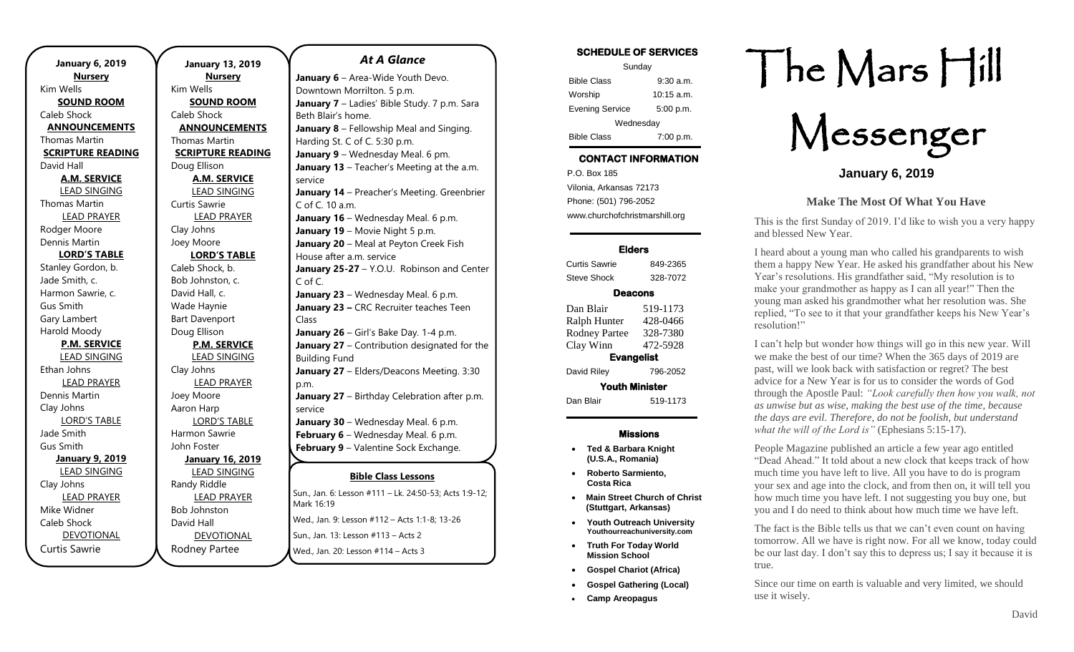**January 13, 2019 Nursery** Kim Wells **SOUND ROOM** Caleb Shock **ANNOUNCEMENTS** Thomas Martin **SCRIPTURE READING** Doug Ellison **A.M. SERVICE** LEAD SINGING Curtis Sawrie LEAD PRAYER Clay Johns Joey Moore **LORD'S TABLE** Caleb Shock, b. Bob Johnston, c. David Hall, c. Wade Haynie Bart Davenport Doug Ellison **P.M. SERVICE** LEAD SINGING Clay Johns LEAD PRAYER Joey Moore Aaron Harp LORD'S TABLE Harmon Sawrie John Foster **January 16, 2019** LEAD SINGING Randy Riddle LEAD PRAYER Bob Johnston David Hall DEVOTIONAL

Rodney Partee

*At A Glance* 

**Bible Class Lessons Sun., Jan. 6: Lesson #111 – Lk. 24:50-53; Acts 1:9-12;** Mark 16:19 Wed., Jan. 9: Lesson #112 – Acts 1:1-8; 13-26 Areopagus Sun., Jan. 13: Lesson #113 – Acts 2 **January 6** – Area-Wide Youth Devo. Downtown Morrilton. 5 p.m. January 7 - Ladies' Bible Study. 7 p.m. Sara Beth Blair's home. **January 8** – Fellowship Meal and Singing. Harding St. C of C. 5:30 p.m. **January 9** – Wednesday Meal. 6 pm. **January 13** – Teacher's Meeting at the a.m. service **January 14** – Preacher's Meeting. Greenbrier C of C. 10 a.m. **January 16** – Wednesday Meal. 6 p.m. **January 19 - Movie Night 5 p.m. January 20** – Meal at Peyton Creek Fish House after a.m. service January 25-27 - Y.O.U. Robinson and Center C of C. **January 23** – Wednesday Meal. 6 p.m. **January 23 –** CRC Recruiter teaches Teen Class **January 26** – Girl's Bake Day. 1-4 p.m. **January 27** – Contribution designated for the Building Fund **January 27** – Elders/Deacons Meeting. 3:30 p.m. **January 27** – Birthday Celebration after p.m. service **January 30** – Wednesday Meal. 6 p.m. **February 6** – Wednesday Meal. 6 p.m. **February 9** – Valentine Sock Exchange.  $\begin{array}{ccc} \diagup \qquad & \diagdown \qquad & \diagdown \qquad & \diagdown \qquad & \diagdown \qquad & \diagdown \qquad & \diagdown \qquad & \diagdown \qquad & \diagdown \qquad & \diagdown \qquad & \diagdown \qquad & \diagdown \qquad & \diagdown \qquad & \diagdown \qquad & \diagdown \qquad & \diagdown \qquad & \diagdown \qquad & \diagdown \qquad & \diagdown \qquad & \diagdown \qquad & \diagdown \qquad & \diagdown \qquad & \diagdown \qquad & \diagdown \qquad & \diagdown \qquad & \diagdown \qquad & \diagdown \qquad & \diagdown \qquad & \diagdown \qquad & \diagdown \qquad & \diagdown$ **February 22-25 22-24 PM** PM PM Latin Latin 23-25 23, Acts<br>March 1*0*-10 *February 27 <b>February 28 Proces* 1:1-8, 13-26

Wed., Jan. 20: Lesson #114 – Acts 3

 $\overline{\phantom{a}}$ 

### **SCHEDULE OF SERVICES**

| Sunday                 |              |  |
|------------------------|--------------|--|
| <b>Bible Class</b>     | $9:30$ a.m.  |  |
| Worship                | $10:15$ a.m. |  |
| <b>Evening Service</b> | 5:00 p.m.    |  |
| Wednesday              |              |  |
| <b>Bible Class</b>     | 7:00 p.m.    |  |

# **CONTACT INFORMATION**

. .o. Box 166<br>Vilonia, Arkansas 72173 P.O. Box 185 Phone: (501) 796-2052 www.churchofchristmarshill.org

#### **Elders**

Curtis Sawrie 849-2365 Steve Shock 328-7072

## **Deacons**

| Dan Blair             | 519-1173 |  |
|-----------------------|----------|--|
| Ralph Hunter          | 428-0466 |  |
| <b>Rodney Partee</b>  | 328-7380 |  |
| Clay Winn             | 472-5928 |  |
| <b>Evangelist</b>     |          |  |
| David Riley           | 796-2052 |  |
| <b>Youth Minister</b> |          |  |
| Dan Blair             | 519-1173 |  |
|                       |          |  |

### **Missions**

- **Ted & Barbara Knight (U.S.A., Romania)**
- **Roberto Sarmiento, Costa Rica**
- **Main Street Church of Christ (Stuttgart, Arkansas)**
- **Youth Outreach University Youthourreachuniversity.com**
- **Truth For Today World Mission School**
- **Gospel Chariot (Africa)**
- **Gospel Gathering (Local)**
- **Camp Areopagus**

# The Mars Hill

Messenger

**January 6, 2019**

## **Make The Most Of What You Have**

This is the first Sunday of 2019. I'd like to wish you a very happy and blessed New Year.

I heard about a young man who called his grandparents to wish them a happy New Year. He asked his grandfather about his New Year's resolutions. His grandfather said, "My resolution is to make your grandmother as happy as I can all year!" Then the young man asked his grandmother what her resolution was. She replied, "To see to it that your grandfather keeps his New Year's resolution!"

I can't help but wonder how things will go in this new year. Will we make the best of our time? When the 365 days of 2019 are past, will we look back with satisfaction or regret? The best advice for a New Year is for us to consider the words of God through the Apostle Paul: *"Look carefully then how you walk, not as unwise but as wise, making the best use of the time, because the days are evil. Therefore, do not be foolish, but understand what the will of the Lord is"* (Ephesians 5:15-17).

People Magazine published an article a few year ago entitled "Dead Ahead." It told about a new clock that keeps track of how much time you have left to live. All you have to do is program your sex and age into the clock, and from then on, it will tell you how much time you have left. I not suggesting you buy one, but you and I do need to think about how much time we have left.

The fact is the Bible tells us that we can't even count on having tomorrow. All we have is right now. For all we know, today could be our last day. I don't say this to depress us; I say it because it is true.

Since our time on earth is valuable and very limited, we should use it wisely.